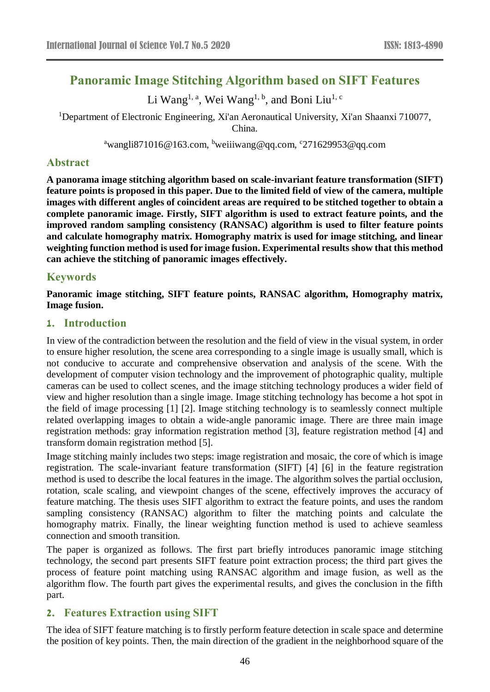# **Panoramic Image Stitching Algorithm based on SIFT Features**

Li Wang<sup>1, a</sup>, Wei Wang<sup>1, b</sup>, and Boni Liu<sup>1, c</sup>

<sup>1</sup>Department of Electronic Engineering, Xi'an Aeronautical University, Xi'an Shaanxi 710077, China.

<sup>a</sup>wangli871016@163.com, <sup>b</sup>weiiiwang@qq.com, °271629953@qq.com

### **Abstract**

**A panorama image stitching algorithm based on scale-invariant feature transformation (SIFT) feature points is proposed in this paper. Due to the limited field of view of the camera, multiple images with different angles of coincident areas are required to be stitched together to obtain a complete panoramic image. Firstly, SIFT algorithm is used to extract feature points, and the improved random sampling consistency (RANSAC) algorithm is used to filter feature points and calculate homography matrix. Homography matrix is used for image stitching, and linear weighting function method is used for image fusion. Experimental results show that this method can achieve the stitching of panoramic images effectively.**

# **Keywords**

**Panoramic image stitching, SIFT feature points, RANSAC algorithm, Homography matrix, Image fusion.**

## **1. Introduction**

In view of the contradiction between the resolution and the field of view in the visual system, in order to ensure higher resolution, the scene area corresponding to a single image is usually small, which is not conducive to accurate and comprehensive observation and analysis of the scene. With the development of computer vision technology and the improvement of photographic quality, multiple cameras can be used to collect scenes, and the image stitching technology produces a wider field of view and higher resolution than a single image. Image stitching technology has become a hot spot in the field of image processing [1] [2]. Image stitching technology is to seamlessly connect multiple related overlapping images to obtain a wide-angle panoramic image. There are three main image registration methods: gray information registration method [3], feature registration method [4] and transform domain registration method [5].

Image stitching mainly includes two steps: image registration and mosaic, the core of which is image registration. The scale-invariant feature transformation (SIFT) [4] [6] in the feature registration method is used to describe the local features in the image. The algorithm solves the partial occlusion, rotation, scale scaling, and viewpoint changes of the scene, effectively improves the accuracy of feature matching. The thesis uses SIFT algorithm to extract the feature points, and uses the random sampling consistency (RANSAC) algorithm to filter the matching points and calculate the homography matrix. Finally, the linear weighting function method is used to achieve seamless connection and smooth transition.

The paper is organized as follows. The first part briefly introduces panoramic image stitching technology, the second part presents SIFT feature point extraction process; the third part gives the process of feature point matching using RANSAC algorithm and image fusion, as well as the algorithm flow. The fourth part gives the experimental results, and gives the conclusion in the fifth part.

# **2. Features Extraction using SIFT**

The idea of SIFT feature matching is to firstly perform feature detection in scale space and determine the position of key points. Then, the main direction of the gradient in the neighborhood square of the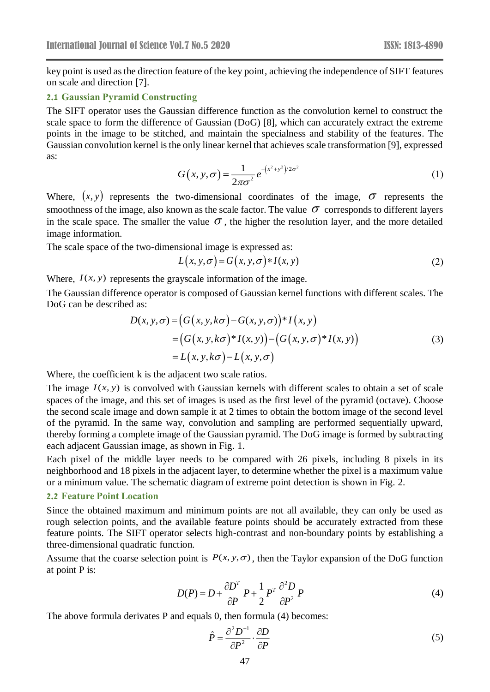key point is used as the direction feature of the key point, achieving the independence of SIFT features on scale and direction [7].

#### **2.1 Gaussian Pyramid Constructing**

The SIFT operator uses the Gaussian difference function as the convolution kernel to construct the scale space to form the difference of Gaussian (DoG) [8], which can accurately extract the extreme points in the image to be stitched, and maintain the specialness and stability of the features. The Gaussian convolution kernel is the only linear kernel that achieves scale transformation [9], expressed as:

$$
G(x, y, \sigma) = \frac{1}{2\pi\sigma^2} e^{-(x^2 + y^2)/2\sigma^2}
$$
 (1)

Where,  $(x, y)$  represents the two-dimensional coordinates of the image,  $\sigma$  represents the smoothness of the image, also known as the scale factor. The value  $\sigma$  corresponds to different layers in the scale space. The smaller the value  $\sigma$ , the higher the resolution layer, and the more detailed image information.

The scale space of the two-dimensional image is expressed as:

$$
L(x, y, \sigma) = G(x, y, \sigma) * I(x, y)
$$
\n(2)

Where,  $I(x, y)$  represents the grayscale information of the image.

The Gaussian difference operator is composed of Gaussian kernel functions with different scales. The DoG can be described as:

$$
D(x, y, \sigma) = (G(x, y, k\sigma) - G(x, y, \sigma))^* I(x, y)
$$
  
=  $(G(x, y, k\sigma)^* I(x, y)) - (G(x, y, \sigma)^* I(x, y))$   
=  $L(x, y, k\sigma) - L(x, y, \sigma)$  (3)

Where, the coefficient k is the adjacent two scale ratios.

The image  $I(x, y)$  is convolved with Gaussian kernels with different scales to obtain a set of scale spaces of the image, and this set of images is used as the first level of the pyramid (octave). Choose the second scale image and down sample it at 2 times to obtain the bottom image of the second level of the pyramid. In the same way, convolution and sampling are performed sequentially upward, thereby forming a complete image of the Gaussian pyramid. The DoG image is formed by subtracting each adjacent Gaussian image, as shown in Fig. 1.

Each pixel of the middle layer needs to be compared with 26 pixels, including 8 pixels in its neighborhood and 18 pixels in the adjacent layer, to determine whether the pixel is a maximum value or a minimum value. The schematic diagram of extreme point detection is shown in Fig. 2.

#### **2.2 Feature Point Location**

Since the obtained maximum and minimum points are not all available, they can only be used as rough selection points, and the available feature points should be accurately extracted from these feature points. The SIFT operator selects high-contrast and non-boundary points by establishing a three-dimensional quadratic function.

Assume that the coarse selection point is  $P(x, y, \sigma)$ , then the Taylor expansion of the DoG function at point P is:

$$
D(P) = D + \frac{\partial D^T}{\partial P} P + \frac{1}{2} P^T \frac{\partial^2 D}{\partial P^2} P
$$
 (4)

The above formula derivates P and equals 0, then formula (4) becomes:

$$
\hat{P} = \frac{\partial^2 D^{-1}}{\partial P^2} \cdot \frac{\partial D}{\partial P} \tag{5}
$$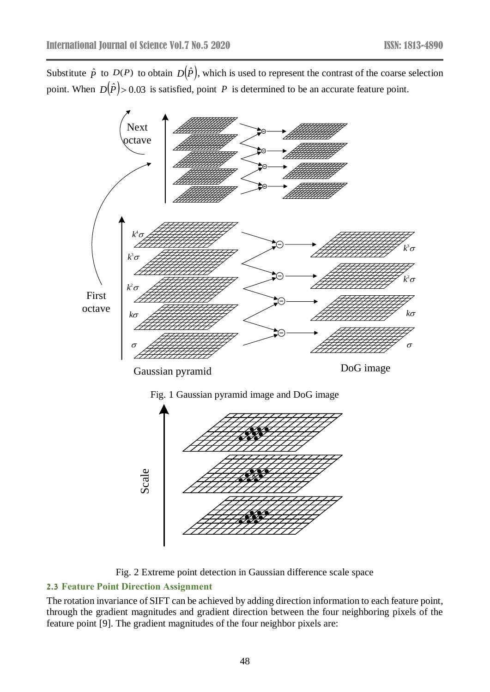Substitute  $\hat{p}$  to  $D(P)$  to obtain  $D(\hat{P})$ , which is used to represent the contrast of the coarse selection point. When  $D(\hat{P}) > 0.03$  is satisfied, point P is determined to be an accurate feature point.



Fig. 2 Extreme point detection in Gaussian difference scale space

# **2.3 Feature Point Direction Assignment**

The rotation invariance of SIFT can be achieved by adding direction information to each feature point, through the gradient magnitudes and gradient direction between the four neighboring pixels of the feature point [9]. The gradient magnitudes of the four neighbor pixels are: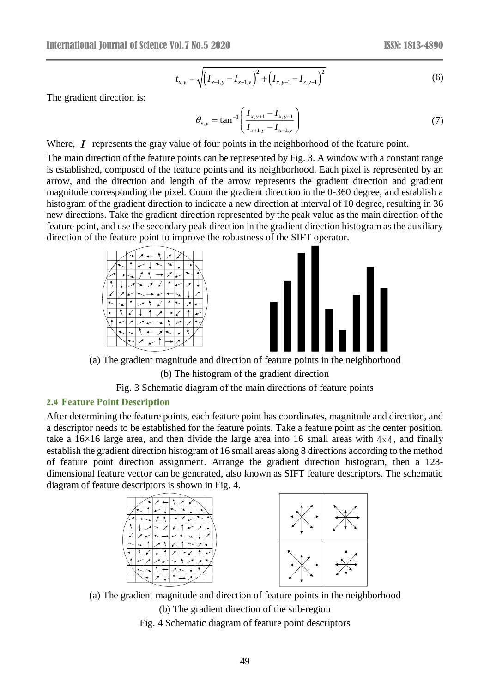$$
t_{x,y} = \sqrt{\left(I_{x+1,y} - I_{x-1,y}\right)^2 + \left(I_{x,y+1} - I_{x,y-1}\right)^2}
$$
\n(6)

The gradient direction is:

$$
\theta_{x,y} = \tan^{-1} \left( \frac{I_{x,y+1} - I_{x,y-1}}{I_{x+1,y} - I_{x-1,y}} \right) \tag{7}
$$

Where,  $I$  represents the gray value of four points in the neighborhood of the feature point.

The main direction of the feature points can be represented by Fig. 3. A window with a constant range is established, composed of the feature points and its neighborhood. Each pixel is represented by an arrow, and the direction and length of the arrow represents the gradient direction and gradient magnitude corresponding the pixel. Count the gradient direction in the 0-360 degree, and establish a histogram of the gradient direction to indicate a new direction at interval of 10 degree, resulting in 36 new directions. Take the gradient direction represented by the peak value as the main direction of the feature point, and use the secondary peak direction in the gradient direction histogram as the auxiliary direction of the feature point to improve the robustness of the SIFT operator.



(a) The gradient magnitude and direction of feature points in the neighborhood

(b) The histogram of the gradient direction

Fig. 3 Schematic diagram of the main directions of feature points

#### **2.4 Feature Point Description**

After determining the feature points, each feature point has coordinates, magnitude and direction, and a descriptor needs to be established for the feature points. Take a feature point as the center position, take a  $16\times16$  large area, and then divide the large area into 16 small areas with  $4\times4$ , and finally establish the gradient direction histogram of 16 small areas along 8 directions according to the method of feature point direction assignment. Arrange the gradient direction histogram, then a 128 dimensional feature vector can be generated, also known as SIFT feature descriptors. The schematic diagram of feature descriptors is shown in Fig. 4.





(a) The gradient magnitude and direction of feature points in the neighborhood (b) The gradient direction of the sub-region

Fig. 4 Schematic diagram of feature point descriptors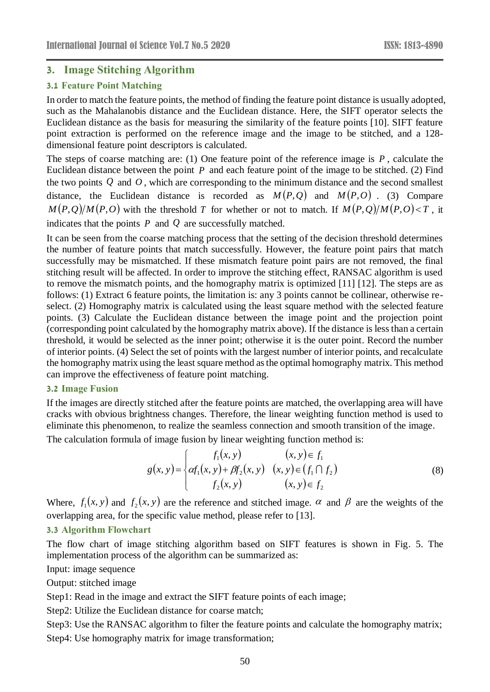### **3. Image Stitching Algorithm**

### **3.1 Feature Point Matching**

In order to match the feature points, the method of finding the feature point distance is usually adopted, such as the Mahalanobis distance and the Euclidean distance. Here, the SIFT operator selects the Euclidean distance as the basis for measuring the similarity of the feature points [10]. SIFT feature point extraction is performed on the reference image and the image to be stitched, and a 128 dimensional feature point descriptors is calculated.

The steps of coarse matching are: (1) One feature point of the reference image is *P* , calculate the Euclidean distance between the point  $P$  and each feature point of the image to be stitched. (2) Find the two points *Q* and *O* , which are corresponding to the minimum distance and the second smallest distance, the Euclidean distance is recorded as  $M(P,Q)$  and  $M(P, O)$ . (3) Compare  $M(P,Q)/M(P,O)$  with the threshold T for whether or not to match. If  $M(P,Q)/M(P,O) < T$ , it indicates that the points  $P$  and  $Q$  are successfully matched.

It can be seen from the coarse matching process that the setting of the decision threshold determines the number of feature points that match successfully. However, the feature point pairs that match successfully may be mismatched. If these mismatch feature point pairs are not removed, the final stitching result will be affected. In order to improve the stitching effect, RANSAC algorithm is used to remove the mismatch points, and the homography matrix is optimized [11] [12]. The steps are as follows: (1) Extract 6 feature points, the limitation is: any 3 points cannot be collinear, otherwise reselect. (2) Homography matrix is calculated using the least square method with the selected feature points. (3) Calculate the Euclidean distance between the image point and the projection point (corresponding point calculated by the homography matrix above). If the distance is less than a certain threshold, it would be selected as the inner point; otherwise it is the outer point. Record the number of interior points. (4) Select the set of points with the largest number of interior points, and recalculate the homography matrix using the least square method as the optimal homography matrix. This method can improve the effectiveness of feature point matching.

#### **3.2 Image Fusion**

If the images are directly stitched after the feature points are matched, the overlapping area will have cracks with obvious brightness changes. Therefore, the linear weighting function method is used to eliminate this phenomenon, to realize the seamless connection and smooth transition of the image.

The calculation formula of image fusion by linear weighting function method is:

$$
g(x, y) = \begin{cases} f_1(x, y) & (x, y) \in f_1 \\ \alpha f_1(x, y) + \beta f_2(x, y) & (x, y) \in (f_1 \cap f_2) \\ f_2(x, y) & (x, y) \in f_2 \end{cases}
$$
(8)

Where,  $f_1(x, y)$  and  $f_2(x, y)$  are the reference and stitched image.  $\alpha$  and  $\beta$  are the weights of the overlapping area, for the specific value method, please refer to [13].

#### **3.3 Algorithm Flowchart**

The flow chart of image stitching algorithm based on SIFT features is shown in Fig. 5. The implementation process of the algorithm can be summarized as:

Input: image sequence

Output: stitched image

Step1: Read in the image and extract the SIFT feature points of each image;

Step2: Utilize the Euclidean distance for coarse match;

Step3: Use the RANSAC algorithm to filter the feature points and calculate the homography matrix; Step4: Use homography matrix for image transformation;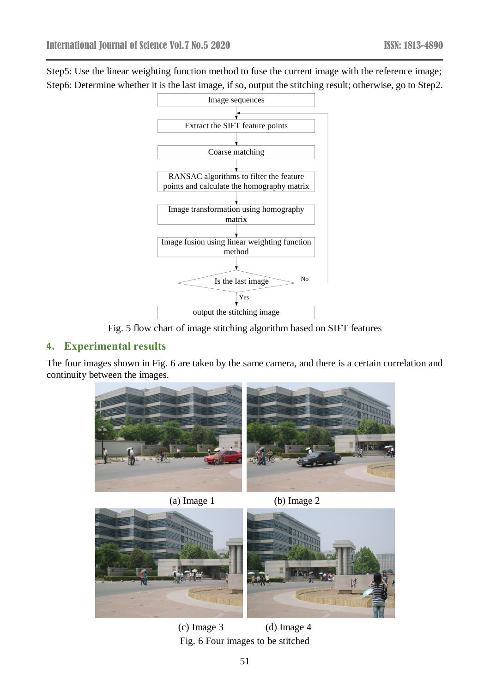Step5: Use the linear weighting function method to fuse the current image with the reference image; Step6: Determine whether it is the last image, if so, output the stitching result; otherwise, go to Step2.



Fig. 5 flow chart of image stitching algorithm based on SIFT features

# **4. Experimental results**

The four images shown in Fig. 6 are taken by the same camera, and there is a certain correlation and continuity between the images.



(a) Image 1 (b) Image 2





(c) Image 3 (d) Image 4 Fig. 6 Four images to be stitched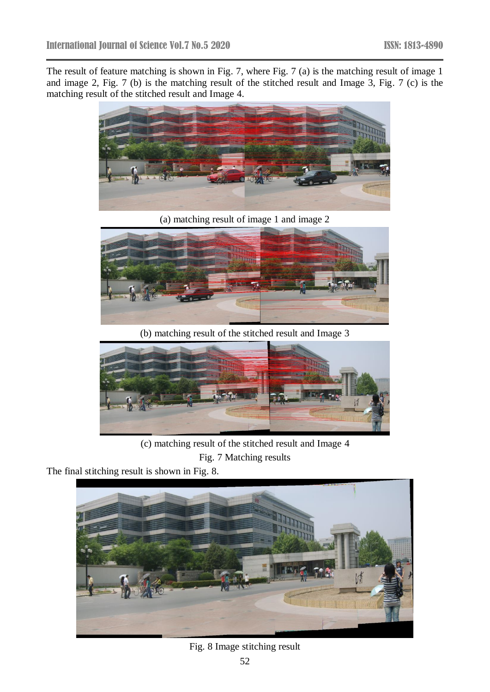The result of feature matching is shown in Fig. 7, where Fig. 7 (a) is the matching result of image 1 and image 2, Fig. 7 (b) is the matching result of the stitched result and Image 3, Fig. 7 (c) is the matching result of the stitched result and Image 4.



(a) matching result of image 1 and image 2



(b) matching result of the stitched result and Image 3



(c) matching result of the stitched result and Image 4

Fig. 7 Matching results

The final stitching result is shown in Fig. 8.



Fig. 8 Image stitching result